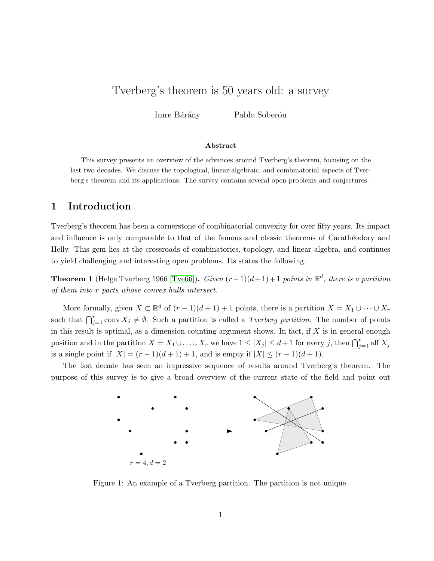### Tverberg's theorem is 50 years old: a survey

Imre Bárány Pablo Soberón

#### Abstract

This survey presents an overview of the advances around Tverberg's theorem, focusing on the last two decades. We discuss the topological, linear-algebraic, and combinatorial aspects of Tverberg's theorem and its applications. The survey contains several open problems and conjectures.

### 1 Introduction

Tverberg's theorem has been a cornerstone of combinatorial convexity for over fifty years. Its impact and influence is only comparable to that of the famous and classic theorems of Carathéodory and Helly. This gem lies at the crossroads of combinatorics, topology, and linear algebra, and continues to yield challenging and interesting open problems. Its states the following.

**Theorem 1** (Helge Tverberg 1966 [\[Tve66\]](#page-2-0)). Given  $(r-1)(d+1)+1$  points in  $\mathbb{R}^d$ , there is a partition of them into r parts whose convex hulls intersect.

More formally, given  $X \subset \mathbb{R}^d$  of  $(r-1)(d+1)+1$  points, there is a partition  $X = X_1 \cup \cdots \cup X_r$ such that  $\bigcap_{j=1}^r$  conv  $X_j \neq \emptyset$ . Such a partition is called a *Tverberg partition*. The number of points in this result is optimal, as a dimension-counting argument shows. In fact, if  $X$  is in general enough position and in the partition  $X = X_1 \cup \ldots \cup X_r$  we have  $1 \leq |X_j| \leq d+1$  for every j, then  $\bigcap_{j=1}^r$  aff  $X_j$ is a single point if  $|X| = (r-1)(d+1) + 1$ , and is empty if  $|X| \le (r-1)(d+1)$ .

The last decade has seen an impressive sequence of results around Tverberg's theorem. The purpose of this survey is to give a broad overview of the current state of the field and point out



Figure 1: An example of a Tverberg partition. The partition is not unique.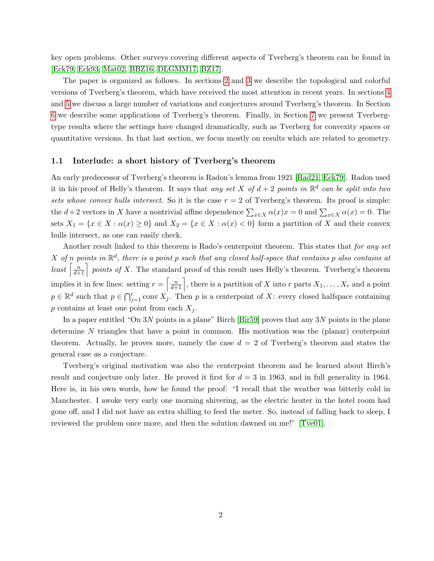key open problems. Other surveys covering different aspects of Tverberg's theorem can be found in [\[Eck79,](#page-2-1) [Eck93,](#page-2-2) [Mat02,](#page-2-3) [BBZ16,](#page-2-4) [DLGMM17,](#page-2-5) [BZ17\]](#page-2-6).

The paper is organized as follows. In sections [2](#page-2-7) and [3](#page-2-8) we describe the topological and colorful versions of Tverberg's theorem, which have received the most attention in recent years. In sections [4](#page-2-9) and [5](#page-2-10) we discuss a large number of variations and conjectures around Tverberg's theorem. In Section [6](#page-2-11) we describe some applications of Tverberg's theorem. Finally, in Section [7](#page-2-12) we present Tverbergtype results where the settings have changed dramatically, such as Tverberg for convexity spaces or quantitative versions. In that last section, we focus mostly on results which are related to geometry.

### 1.1 Interlude: a short history of Tverberg's theorem

An early predecessor of Tverberg's theorem is Radon's lemma from 1921 [\[Rad21,](#page-2-13) [Eck79\]](#page-2-1). Radon used it in his proof of Helly's theorem. It says that any set X of  $d+2$  points in  $\mathbb{R}^d$  can be split into two sets whose convex hulls intersect. So it is the case  $r = 2$  of Tverberg's theorem. Its proof is simple: the  $d+2$  vectors in X have a nontrivial affine dependence  $\sum_{x\in X}\alpha(x)x=0$  and  $\sum_{x\in X}\alpha(x)=0$ . The sets  $X_1 = \{x \in X : \alpha(x) \ge 0\}$  and  $X_2 = \{x \in X : \alpha(x) < 0\}$  form a partition of X and their convex hulls intersect, as one can easily check.

Another result linked to this theorem is Rado's centerpoint theorem. This states that for any set X of n points in  $\mathbb{R}^d$ , there is a point p such that any closed half-space that contains p also contains at least  $\left[\frac{n}{d+1}\right]$  points of X. The standard proof of this result uses Helly's theorem. Tverberg's theorem implies it in few lines: setting  $r = \left[\frac{n}{d+1}\right]$ , there is a partition of X into r parts  $X_1, \ldots, X_r$  and a point  $p \in \mathbb{R}^d$  such that  $p \in \bigcap_{j=1}^r \text{conv } X_j$ . Then p is a centerpoint of X: every closed halfspace containing p contains at least one point from each  $X_i$ .

In a paper entitled "On 3N points in a plane" Birch [\[Bir59\]](#page-2-14) proves that any 3N points in the plane determine N triangles that have a point in common. His motivation was the (planar) centerpoint theorem. Actually, he proves more, namely the case  $d = 2$  of Tverberg's theorem and states the general case as a conjecture.

Tverberg's original motivation was also the centerpoint theorem and he learned about Birch's result and conjecture only later. He proved it first for  $d = 3$  in 1963, and in full generality in 1964. Here is, in his own words, how he found the proof: "I recall that the weather was bitterly cold in Manchester. I awoke very early one morning shivering, as the electric heater in the hotel room had gone off, and I did not have an extra shilling to feed the meter. So, instead of falling back to sleep, I reviewed the problem once more, and then the solution dawned on me!" [\[Tve01\]](#page-2-15).